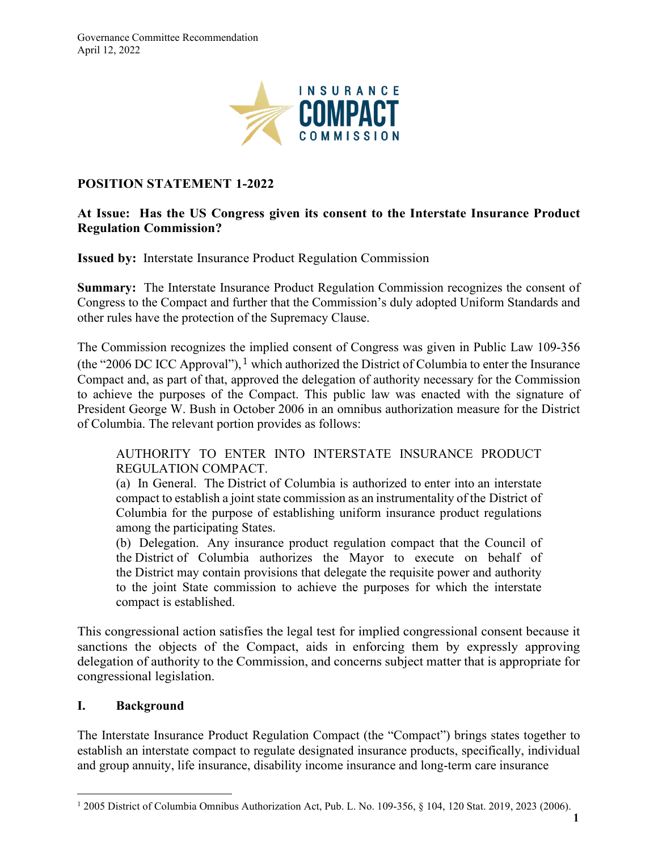

### **POSITION STATEMENT 1-2022**

#### **At Issue: Has the US Congress given its consent to the Interstate Insurance Product Regulation Commission?**

**Issued by:** Interstate Insurance Product Regulation Commission

**Summary:** The Interstate Insurance Product Regulation Commission recognizes the consent of Congress to the Compact and further that the Commission's duly adopted Uniform Standards and other rules have the protection of the Supremacy Clause.

The Commission recognizes the implied consent of Congress was given in Public Law 109-356 (the "2006 DC ICC Approval"), <sup>[1](#page-0-0)</sup> which authorized the District of Columbia to enter the Insurance Compact and, as part of that, approved the delegation of authority necessary for the Commission to achieve the purposes of the Compact. This public law was enacted with the signature of President George W. Bush in October 2006 in an omnibus authorization measure for the District of Columbia. The relevant portion provides as follows:

### AUTHORITY TO ENTER INTO INTERSTATE INSURANCE PRODUCT REGULATION COMPACT.

(a) In General. The District of Columbia is authorized to enter into an interstate compact to establish a joint state commission as an instrumentality of the District of Columbia for the purpose of establishing uniform insurance product regulations among the participating States.

(b) Delegation. Any insurance product regulation compact that the Council of the District of Columbia authorizes the Mayor to execute on behalf of the District may contain provisions that delegate the requisite power and authority to the joint State commission to achieve the purposes for which the interstate compact is established.

This congressional action satisfies the legal test for implied congressional consent because it sanctions the objects of the Compact, aids in enforcing them by expressly approving delegation of authority to the Commission, and concerns subject matter that is appropriate for congressional legislation.

#### **I. Background**

The Interstate Insurance Product Regulation Compact (the "Compact") brings states together to establish an interstate compact to regulate designated insurance products, specifically, individual and group annuity, life insurance, disability income insurance and long-term care insurance

<span id="page-0-0"></span><sup>1</sup> 2005 District of Columbia Omnibus Authorization Act, Pub. L. No. 109-356, § 104, 120 Stat. 2019, 2023 (2006).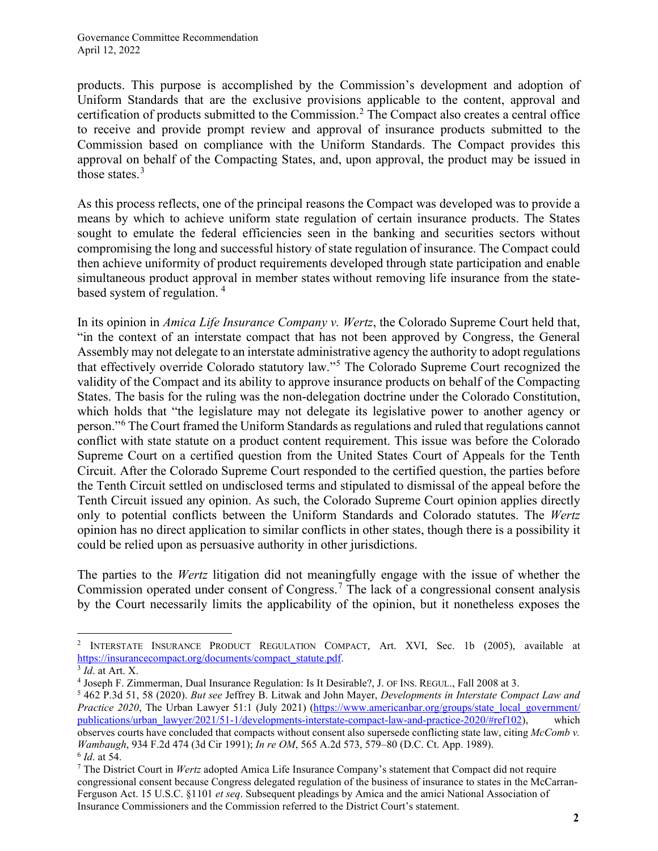products. This purpose is accomplished by the Commission's development and adoption of Uniform Standards that are the exclusive provisions applicable to the content, approval and certification of products submitted to the Commission.<sup>[2](#page-1-0)</sup> The Compact also creates a central office to receive and provide prompt review and approval of insurance products submitted to the Commission based on compliance with the Uniform Standards. The Compact provides this approval on behalf of the Compacting States, and, upon approval, the product may be issued in those states. $3$ 

As this process reflects, one of the principal reasons the Compact was developed was to provide a means by which to achieve uniform state regulation of certain insurance products. The States sought to emulate the federal efficiencies seen in the banking and securities sectors without compromising the long and successful history of state regulation of insurance. The Compact could then achieve uniformity of product requirements developed through state participation and enable simultaneous product approval in member states without removing life insurance from the statebased system of regulation. [4](#page-1-2)

In its opinion in *Amica Life Insurance Company v. Wertz*, the Colorado Supreme Court held that, "in the context of an interstate compact that has not been approved by Congress, the General Assembly may not delegate to an interstate administrative agency the authority to adopt regulations that effectively override Colorado statutory law."[5](#page-1-3) The Colorado Supreme Court recognized the validity of the Compact and its ability to approve insurance products on behalf of the Compacting States. The basis for the ruling was the non-delegation doctrine under the Colorado Constitution, which holds that "the legislature may not delegate its legislative power to another agency or person."[6](#page-1-4) The Court framed the Uniform Standards as regulations and ruled that regulations cannot conflict with state statute on a product content requirement. This issue was before the Colorado Supreme Court on a certified question from the United States Court of Appeals for the Tenth Circuit. After the Colorado Supreme Court responded to the certified question, the parties before the Tenth Circuit settled on undisclosed terms and stipulated to dismissal of the appeal before the Tenth Circuit issued any opinion. As such, the Colorado Supreme Court opinion applies directly only to potential conflicts between the Uniform Standards and Colorado statutes. The *Wertz*  opinion has no direct application to similar conflicts in other states, though there is a possibility it could be relied upon as persuasive authority in other jurisdictions.

The parties to the *Wertz* litigation did not meaningfully engage with the issue of whether the Commission operated under consent of Congress. [7](#page-1-5) The lack of a congressional consent analysis by the Court necessarily limits the applicability of the opinion, but it nonetheless exposes the

<span id="page-1-0"></span><sup>&</sup>lt;sup>2</sup> INTERSTATE INSURANCE PRODUCT REGULATION COMPACT, Art. XVI, Sec. 1b (2005), available at [https://insurancecompact.org/documents/compact\\_statute.pdf.](https://insurancecompact.org/documents/compact_statute.pdf) 3 *Id*. at Art. X.

<span id="page-1-1"></span>

<span id="page-1-2"></span><sup>4</sup> Joseph F. Zimmerman, Dual Insurance Regulation: Is It Desirable?, J. OF INS. REGUL., Fall 2008 at 3.

<span id="page-1-3"></span><sup>5</sup> 462 P.3d 51, 58 (2020). *But see* Jeffrey B. Litwak and John Mayer, *Developments in Interstate Compact Law and Practice 2020*, The Urban Lawyer 51:1 (July 2021) [\(https://www.americanbar.org/groups/state\\_local\\_government/](https://www.americanbar.org/groups/state_local_government/publications/urban_lawyer/2021/51-1/developments-interstate-compact-law-and-practice-2020/#ref102) [publications/urban\\_lawyer/2021/51-1/developments-interstate-compact-law-and-practice-2020/#ref102\)](https://www.americanbar.org/groups/state_local_government/publications/urban_lawyer/2021/51-1/developments-interstate-compact-law-and-practice-2020/#ref102), which observes courts have concluded that compacts without consent also supersede conflicting state law, citing *McComb v. Wambaugh*, 934 F.2d 474 (3d Cir 1991); *In re OM*, 565 A.2d 573, 579–80 (D.C. Ct. App. 1989). 6 *Id*. at 54.

<span id="page-1-5"></span><span id="page-1-4"></span><sup>7</sup> The District Court in *Wertz* adopted Amica Life Insurance Company's statement that Compact did not require congressional consent because Congress delegated regulation of the business of insurance to states in the McCarran-Ferguson Act. 15 U.S.C. §1101 *et seq*. Subsequent pleadings by Amica and the amici National Association of Insurance Commissioners and the Commission referred to the District Court's statement.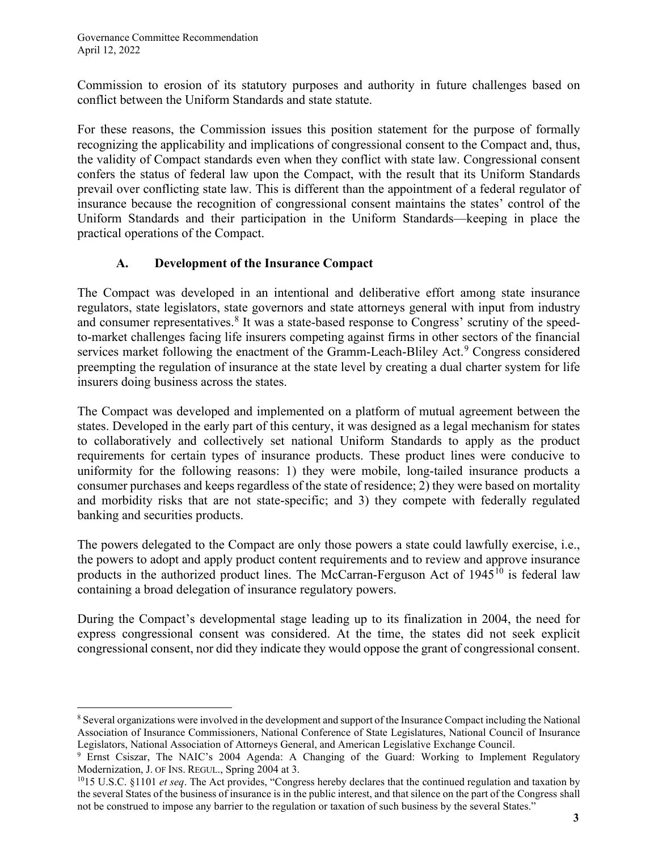Commission to erosion of its statutory purposes and authority in future challenges based on conflict between the Uniform Standards and state statute.

For these reasons, the Commission issues this position statement for the purpose of formally recognizing the applicability and implications of congressional consent to the Compact and, thus, the validity of Compact standards even when they conflict with state law. Congressional consent confers the status of federal law upon the Compact, with the result that its Uniform Standards prevail over conflicting state law. This is different than the appointment of a federal regulator of insurance because the recognition of congressional consent maintains the states' control of the Uniform Standards and their participation in the Uniform Standards—keeping in place the practical operations of the Compact.

# **A. Development of the Insurance Compact**

The Compact was developed in an intentional and deliberative effort among state insurance regulators, state legislators, state governors and state attorneys general with input from industry and consumer representatives.<sup>[8](#page-2-0)</sup> It was a state-based response to Congress' scrutiny of the speedto-market challenges facing life insurers competing against firms in other sectors of the financial services market following the enactment of the Gramm-Leach-Bliley Act.<sup>[9](#page-2-1)</sup> Congress considered preempting the regulation of insurance at the state level by creating a dual charter system for life insurers doing business across the states.

The Compact was developed and implemented on a platform of mutual agreement between the states. Developed in the early part of this century, it was designed as a legal mechanism for states to collaboratively and collectively set national Uniform Standards to apply as the product requirements for certain types of insurance products. These product lines were conducive to uniformity for the following reasons: 1) they were mobile, long-tailed insurance products a consumer purchases and keeps regardless of the state of residence; 2) they were based on mortality and morbidity risks that are not state-specific; and 3) they compete with federally regulated banking and securities products.

The powers delegated to the Compact are only those powers a state could lawfully exercise, i.e., the powers to adopt and apply product content requirements and to review and approve insurance products in the authorized product lines. The McCarran-Ferguson Act of  $1945^{10}$  $1945^{10}$  $1945^{10}$  is federal law containing a broad delegation of insurance regulatory powers.

During the Compact's developmental stage leading up to its finalization in 2004, the need for express congressional consent was considered. At the time, the states did not seek explicit congressional consent, nor did they indicate they would oppose the grant of congressional consent.

<span id="page-2-0"></span><sup>8</sup> Several organizations were involved in the development and support of the Insurance Compact including the National Association of Insurance Commissioners, National Conference of State Legislatures, National Council of Insurance Legislators, National Association of Attorneys General, and American Legislative Exchange Council.

<span id="page-2-1"></span><sup>&</sup>lt;sup>9</sup> Ernst Csiszar, The NAIC's 2004 Agenda: A Changing of the Guard: Working to Implement Regulatory Modernization, J. OF INS. REGUL., Spring 2004 at 3.<br><sup>10</sup>15 U.S.C. §1101 *et seq*. The Act provides, "Congress hereby declares that the continued regulation and taxation by

<span id="page-2-2"></span>the several States of the business of insurance is in the public interest, and that silence on the part of the Congress shall not be construed to impose any barrier to the regulation or taxation of such business by the several States."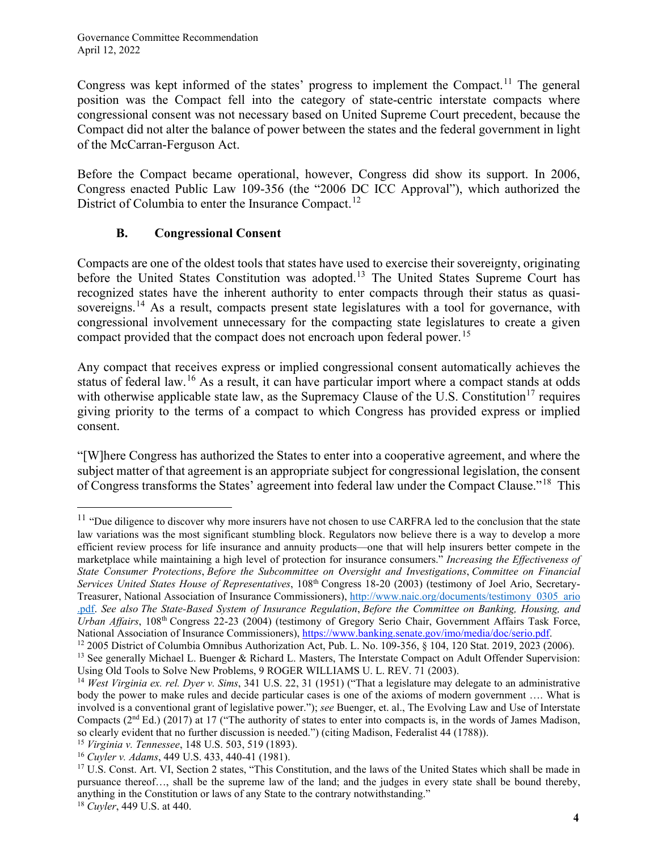Congress was kept informed of the states' progress to implement the Compact.<sup>[11](#page-3-0)</sup> The general position was the Compact fell into the category of state-centric interstate compacts where congressional consent was not necessary based on United Supreme Court precedent, because the Compact did not alter the balance of power between the states and the federal government in light of the McCarran-Ferguson Act.

Before the Compact became operational, however, Congress did show its support. In 2006, Congress enacted Public Law 109-356 (the "2006 DC ICC Approval"), which authorized the District of Columbia to enter the Insurance Compact.<sup>[12](#page-3-1)</sup>

# **B. Congressional Consent**

Compacts are one of the oldest tools that states have used to exercise their sovereignty, originating before the United States Constitution was adopted.<sup>[13](#page-3-2)</sup> The United States Supreme Court has recognized states have the inherent authority to enter compacts through their status as quasi-sovereigns.<sup>[14](#page-3-3)</sup> As a result, compacts present state legislatures with a tool for governance, with congressional involvement unnecessary for the compacting state legislatures to create a given compact provided that the compact does not encroach upon federal power.<sup>[15](#page-3-4)</sup>

Any compact that receives express or implied congressional consent automatically achieves the status of federal law.<sup>[16](#page-3-5)</sup> As a result, it can have particular import where a compact stands at odds with otherwise applicable state law, as the Supremacy Clause of the U.S. Constitution<sup>[17](#page-3-6)</sup> requires giving priority to the terms of a compact to which Congress has provided express or implied consent.

"[W]here Congress has authorized the States to enter into a cooperative agreement, and where the subject matter of that agreement is an appropriate subject for congressional legislation, the consent of Congress transforms the States' agreement into federal law under the Compact Clause."[18](#page-3-7) This

<span id="page-3-0"></span> $11$  "Due diligence to discover why more insurers have not chosen to use CARFRA led to the conclusion that the state law variations was the most significant stumbling block. Regulators now believe there is a way to develop a more efficient review process for life insurance and annuity products—one that will help insurers better compete in the marketplace while maintaining a high level of protection for insurance consumers." *Increasing the Effectiveness of State Consumer Protections*, *Before the Subcommittee on Oversight and Investigations*, *Committee on Financial Services United States House of Representatives*, 108th Congress 18-20 (2003) (testimony of Joel Ario, Secretary-Treasurer, National Association of Insurance Commissioners), [http://www.naic.org/documents/testimony\\_0305\\_ario](http://www.naic.org/documents/testimony_0305_ario.pdf) [.pdf.](http://www.naic.org/documents/testimony_0305_ario.pdf) *See also The State-Based System of Insurance Regulation*, *Before the Committee on Banking, Housing, and Urban Affairs*, 108th Congress 22-23 (2004) (testimony of Gregory Serio Chair, Government Affairs Task Force, National Association of Insurance Commissioners), [https://www.banking.senate.gov/imo/media/doc/serio.pdf.](https://naiconline-my.sharepoint.com/personal/bmcelduff_insurancecompact_org/Documents/Attachments/Testimony%20of%20the%20National%20Association%20of%20Insurance%20Commissioners%20Before%20the%20Subcommittee%20on%20Oversight%20and%20Investigations%20Committee%20on%20Financial%20Services%20United%20States%20House%20of%20Representatives%20on%20May%206,%202003.%20Oregon%20Administrator%20Joel%20Ario.%20Pages%2018%20%E2%80%93%2020.)

<span id="page-3-1"></span><sup>12</sup> 2005 District of Columbia Omnibus Authorization Act, Pub. L. No. 109-356, § 104, 120 Stat. 2019, 2023 (2006).

<span id="page-3-2"></span><sup>&</sup>lt;sup>13</sup> See generally Michael L. Buenger & Richard L. Masters, The Interstate Compact on Adult Offender Supervision: Using Old Tools to Solve New Problems, 9 ROGER WILLIAMS U. L. REV. 71 (2003).

<span id="page-3-3"></span><sup>14</sup> *West Virginia ex. rel. Dyer v. Sims*, 341 U.S. 22, 31 (1951) ("That a legislature may delegate to an administrative body the power to make rules and decide particular cases is one of the axioms of modern government …. What is involved is a conventional grant of legislative power."); *see* Buenger, et. al., The Evolving Law and Use of Interstate Compacts ( $2<sup>nd</sup> Ed.$ ) (2017) at 17 ("The authority of states to enter into compacts is, in the words of James Madison, so clearly evident that no further discussion is needed.") (citing Madison, Federalist 44 (1788)).

<span id="page-3-4"></span><sup>15</sup> *Virginia v. Tennessee*, 148 U.S. 503, 519 (1893).

<span id="page-3-5"></span><sup>16</sup> *Cuyler v. Adams*, 449 U.S. 433, 440-41 (1981).

<span id="page-3-7"></span><span id="page-3-6"></span><sup>&</sup>lt;sup>17</sup> U.S. Const. Art. VI, Section 2 states, "This Constitution, and the laws of the United States which shall be made in pursuance thereof…, shall be the supreme law of the land; and the judges in every state shall be bound thereby, anything in the Constitution or laws of any State to the contrary notwithstanding." 18 *Cuyler*, 449 U.S. at 440.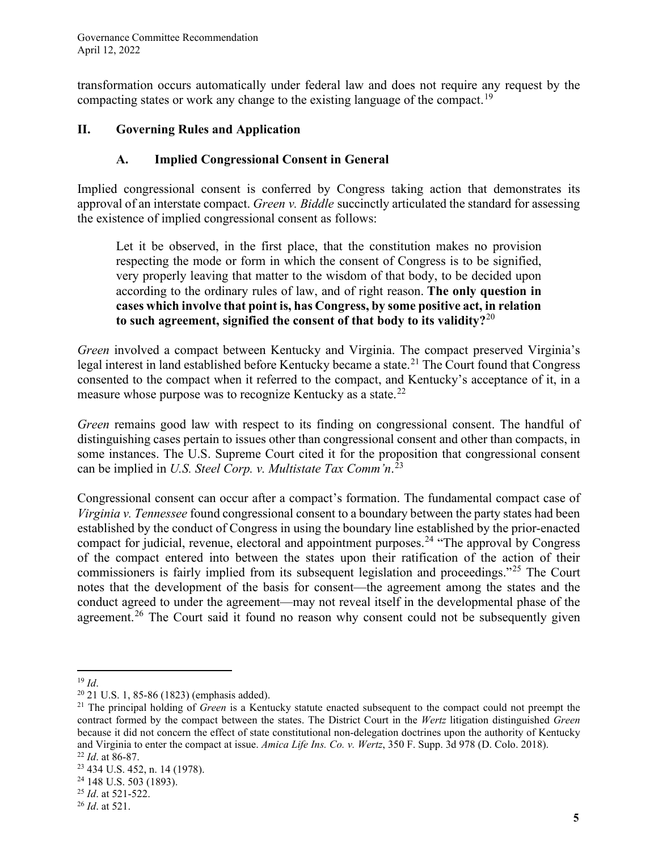transformation occurs automatically under federal law and does not require any request by the compacting states or work any change to the existing language of the compact.<sup>[19](#page-4-0)</sup>

### **II. Governing Rules and Application**

### **A. Implied Congressional Consent in General**

Implied congressional consent is conferred by Congress taking action that demonstrates its approval of an interstate compact. *Green v. Biddle* succinctly articulated the standard for assessing the existence of implied congressional consent as follows:

Let it be observed, in the first place, that the constitution makes no provision respecting the mode or form in which the consent of Congress is to be signified, very properly leaving that matter to the wisdom of that body, to be decided upon according to the ordinary rules of law, and of right reason. **The only question in cases which involve that point is, has Congress, by some positive act, in relation to such agreement, signified the consent of that body to its validity?**[20](#page-4-1)

*Green* involved a compact between Kentucky and Virginia. The compact preserved Virginia's legal interest in land established before Kentucky became a state.<sup>[21](#page-4-2)</sup> The Court found that Congress consented to the compact when it referred to the compact, and Kentucky's acceptance of it, in a measure whose purpose was to recognize Kentucky as a state.<sup>[22](#page-4-3)</sup>

*Green* remains good law with respect to its finding on congressional consent. The handful of distinguishing cases pertain to issues other than congressional consent and other than compacts, in some instances. The U.S. Supreme Court cited it for the proposition that congressional consent can be implied in *U.S. Steel Corp. v. Multistate Tax Comm'n*. [23](#page-4-4)

Congressional consent can occur after a compact's formation. The fundamental compact case of *Virginia v. Tennessee* found congressional consent to a boundary between the party states had been established by the conduct of Congress in using the boundary line established by the prior-enacted compact for judicial, revenue, electoral and appointment purposes.<sup>24</sup> "The approval by Congress" of the compact entered into between the states upon their ratification of the action of their commissioners is fairly implied from its subsequent legislation and proceedings."[25](#page-4-6) The Court notes that the development of the basis for consent—the agreement among the states and the conduct agreed to under the agreement—may not reveal itself in the developmental phase of the agreement.<sup>[26](#page-4-7)</sup> The Court said it found no reason why consent could not be subsequently given

<span id="page-4-2"></span><span id="page-4-1"></span>

<span id="page-4-0"></span><sup>&</sup>lt;sup>19</sup> *Id*.<br><sup>20</sup> 21 U.S. 1, 85-86 (1823) (emphasis added).<br><sup>21</sup> The principal holding of *Green* is a Kentucky statute enacted subsequent to the compact could not preempt the contract formed by the compact between the states. The District Court in the *Wertz* litigation distinguished *Green* because it did not concern the effect of state constitutional non-delegation doctrines upon the authority of Kentucky and Virginia to enter the compact at issue. *Amica Life Ins. Co. v. Wertz*, 350 F. Supp. 3d 978 (D. Colo. 2018). 22 *Id*. at 86-87.

<span id="page-4-3"></span>

<span id="page-4-4"></span><sup>23</sup> 434 U.S. 452, n. <sup>14</sup> (1978). 24 148 U.S. 503 (1893).

<span id="page-4-5"></span>

<span id="page-4-6"></span><sup>25</sup> *Id*. at 521-522.

<span id="page-4-7"></span><sup>26</sup> *Id*. at 521.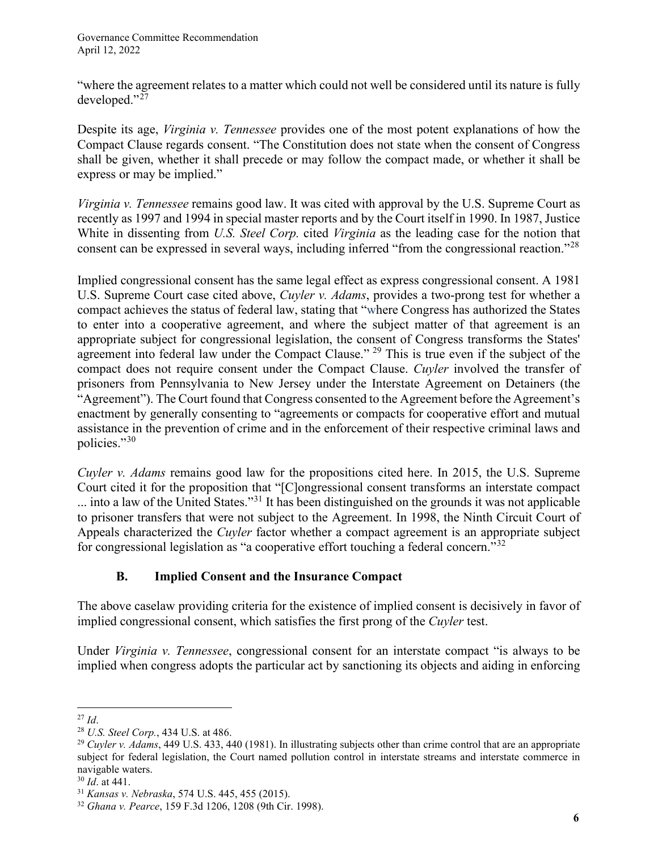"where the agreement relates to a matter which could not well be considered until its nature is fully developed." $^{27}$  $^{27}$  $^{27}$ 

Despite its age, *Virginia v. Tennessee* provides one of the most potent explanations of how the Compact Clause regards consent. "The Constitution does not state when the consent of Congress shall be given, whether it shall precede or may follow the compact made, or whether it shall be express or may be implied."

*Virginia v. Tennessee* remains good law. It was cited with approval by the U.S. Supreme Court as recently as 1997 and 1994 in special master reports and by the Court itself in 1990. In 1987, Justice White in dissenting from *U.S. Steel Corp.* cited *Virginia* as the leading case for the notion that consent can be expressed in several ways, including inferred "from the congressional reaction."[28](#page-5-1)

Implied congressional consent has the same legal effect as express congressional consent. A 1981 U.S. Supreme Court case cited above, *Cuyler v. Adams*, provides a two-prong test for whether a compact achieves the status of federal law, stating that "where Congress has authorized the States to enter into a cooperative agreement, and where the subject matter of that agreement is an appropriate subject for congressional legislation, the consent of Congress transforms the States' agreement into federal law under the Compact Clause."  $29$  This is true even if the subject of the compact does not require consent under the Compact Clause. *Cuyler* involved the transfer of prisoners from Pennsylvania to New Jersey under the Interstate Agreement on Detainers (the "Agreement"). The Court found that Congress consented to the Agreement before the Agreement's enactment by generally consenting to "agreements or compacts for cooperative effort and mutual assistance in the prevention of crime and in the enforcement of their respective criminal laws and policies."[30](#page-5-3)

*Cuyler v. Adams* remains good law for the propositions cited here. In 2015, the U.S. Supreme Court cited it for the proposition that "[C]ongressional consent transforms an interstate compact ... into a law of the United States."[31](#page-5-4) It has been distinguished on the grounds it was not applicable to prisoner transfers that were not subject to the Agreement. In 1998, the Ninth Circuit Court of Appeals characterized the *Cuyler* factor whether a compact agreement is an appropriate subject for congressional legislation as "a cooperative effort touching a federal concern."[32](#page-5-5)

# **B. Implied Consent and the Insurance Compact**

The above caselaw providing criteria for the existence of implied consent is decisively in favor of implied congressional consent, which satisfies the first prong of the *Cuyler* test.

Under *Virginia v. Tennessee*, congressional consent for an interstate compact "is always to be implied when congress adopts the particular act by sanctioning its objects and aiding in enforcing

<span id="page-5-0"></span><sup>27</sup> *Id*. 28 *U.S. Steel Corp.*, 434 U.S. at 486.

<span id="page-5-2"></span><span id="page-5-1"></span><sup>&</sup>lt;sup>29</sup> *Cuyler v. Adams*, 449 U.S. 433, 440 (1981). In illustrating subjects other than crime control that are an appropriate subject for federal legislation, the Court named pollution control in interstate streams and interstate commerce in navigable waters.

<span id="page-5-4"></span><span id="page-5-3"></span><sup>30</sup> *Id*. at 441.

<span id="page-5-5"></span><sup>31</sup> *Kansas v. Nebraska*, 574 U.S. 445, 455 (2015). 32 *Ghana v. Pearce*, 159 F.3d 1206, 1208 (9th Cir. 1998).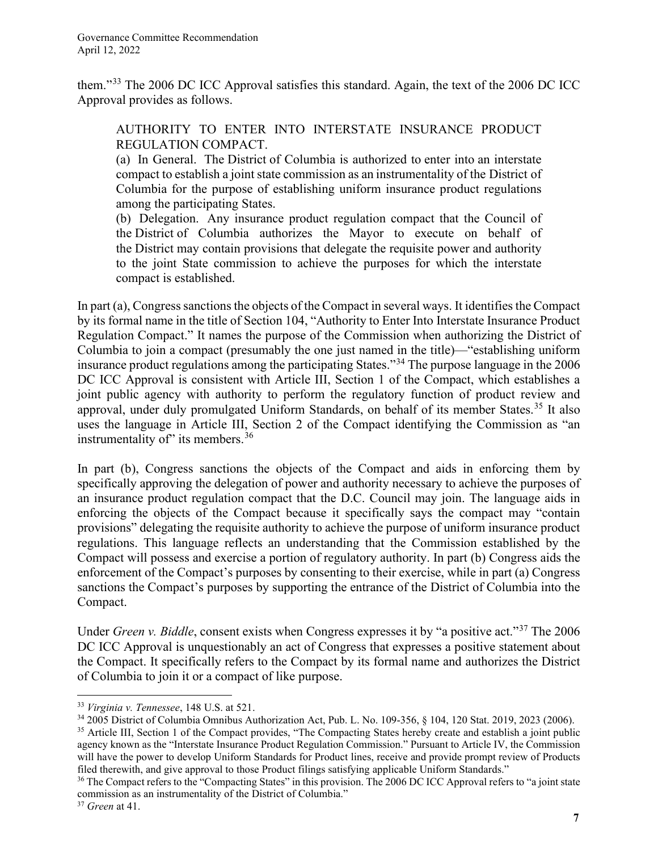them."[33](#page-6-0) The 2006 DC ICC Approval satisfies this standard. Again, the text of the 2006 DC ICC Approval provides as follows.

#### AUTHORITY TO ENTER INTO INTERSTATE INSURANCE PRODUCT REGULATION COMPACT.

(a) In General. The District of Columbia is authorized to enter into an interstate compact to establish a joint state commission as an instrumentality of the District of Columbia for the purpose of establishing uniform insurance product regulations among the participating States.

(b) Delegation. Any insurance product regulation compact that the Council of the District of Columbia authorizes the Mayor to execute on behalf of the District may contain provisions that delegate the requisite power and authority to the joint State commission to achieve the purposes for which the interstate compact is established.

In part (a), Congress sanctions the objects of the Compact in several ways. It identifies the Compact by its formal name in the title of Section 104, "Authority to Enter Into Interstate Insurance Product Regulation Compact." It names the purpose of the Commission when authorizing the District of Columbia to join a compact (presumably the one just named in the title)—"establishing uniform insurance product regulations among the participating States."[34](#page-6-1) The purpose language in the 2006 DC ICC Approval is consistent with Article III, Section 1 of the Compact, which establishes a joint public agency with authority to perform the regulatory function of product review and approval, under duly promulgated Uniform Standards, on behalf of its member States.<sup>[35](#page-6-2)</sup> It also uses the language in Article III, Section 2 of the Compact identifying the Commission as "an instrumentality of" its members.<sup>[36](#page-6-3)</sup>

In part (b), Congress sanctions the objects of the Compact and aids in enforcing them by specifically approving the delegation of power and authority necessary to achieve the purposes of an insurance product regulation compact that the D.C. Council may join. The language aids in enforcing the objects of the Compact because it specifically says the compact may "contain provisions" delegating the requisite authority to achieve the purpose of uniform insurance product regulations. This language reflects an understanding that the Commission established by the Compact will possess and exercise a portion of regulatory authority. In part (b) Congress aids the enforcement of the Compact's purposes by consenting to their exercise, while in part (a) Congress sanctions the Compact's purposes by supporting the entrance of the District of Columbia into the Compact.

Under *Green v. Biddle*, consent exists when Congress expresses it by "a positive act."[37](#page-6-4) The 2006 DC ICC Approval is unquestionably an act of Congress that expresses a positive statement about the Compact. It specifically refers to the Compact by its formal name and authorizes the District of Columbia to join it or a compact of like purpose.

<span id="page-6-0"></span><sup>33</sup> *Virginia v. Tennessee*, 148 U.S. at 521.

<span id="page-6-1"></span><sup>34</sup> 2005 District of Columbia Omnibus Authorization Act, Pub. L. No. 109-356, § 104, 120 Stat. 2019, 2023 (2006).

<span id="page-6-2"></span><sup>&</sup>lt;sup>35</sup> Article III, Section 1 of the Compact provides, "The Compacting States hereby create and establish a joint public agency known as the "Interstate Insurance Product Regulation Commission." Pursuant to Article IV, the Commission will have the power to develop Uniform Standards for Product lines, receive and provide prompt review of Products filed therewith, and give approval to those Product filings satisfying applicable Uniform Standards."

<span id="page-6-3"></span><sup>&</sup>lt;sup>36</sup> The Compact refers to the "Compacting States" in this provision. The 2006 DC ICC Approval refers to "a joint state" commission as an instrumentality of the District of Columbia."

<span id="page-6-4"></span><sup>37</sup> *Green* at 41.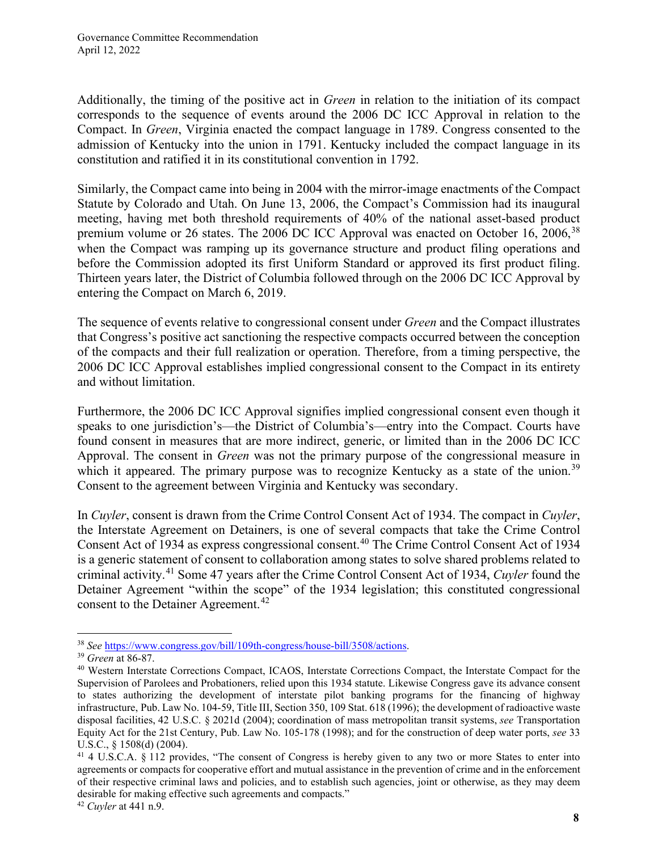Additionally, the timing of the positive act in *Green* in relation to the initiation of its compact corresponds to the sequence of events around the 2006 DC ICC Approval in relation to the Compact. In *Green*, Virginia enacted the compact language in 1789. Congress consented to the admission of Kentucky into the union in 1791. Kentucky included the compact language in its constitution and ratified it in its constitutional convention in 1792.

Similarly, the Compact came into being in 2004 with the mirror-image enactments of the Compact Statute by Colorado and Utah. On June 13, 2006, the Compact's Commission had its inaugural meeting, having met both threshold requirements of 40% of the national asset-based product premium volume or 26 states. The 2006 DC ICC Approval was enacted on October 16, 2006,<sup>[38](#page-7-0)</sup> when the Compact was ramping up its governance structure and product filing operations and before the Commission adopted its first Uniform Standard or approved its first product filing. Thirteen years later, the District of Columbia followed through on the 2006 DC ICC Approval by entering the Compact on March 6, 2019.

The sequence of events relative to congressional consent under *Green* and the Compact illustrates that Congress's positive act sanctioning the respective compacts occurred between the conception of the compacts and their full realization or operation. Therefore, from a timing perspective, the 2006 DC ICC Approval establishes implied congressional consent to the Compact in its entirety and without limitation.

Furthermore, the 2006 DC ICC Approval signifies implied congressional consent even though it speaks to one jurisdiction's—the District of Columbia's—entry into the Compact. Courts have found consent in measures that are more indirect, generic, or limited than in the 2006 DC ICC Approval. The consent in *Green* was not the primary purpose of the congressional measure in which it appeared. The primary purpose was to recognize Kentucky as a state of the union.<sup>[39](#page-7-1)</sup> Consent to the agreement between Virginia and Kentucky was secondary.

In *Cuyler*, consent is drawn from the Crime Control Consent Act of 1934. The compact in *Cuyler*, the Interstate Agreement on Detainers, is one of several compacts that take the Crime Control Consent Act of 1934 as express congressional consent. [40](#page-7-2) The Crime Control Consent Act of 1934 is a generic statement of consent to collaboration among states to solve shared problems related to criminal activity. [41](#page-7-3) Some 47 years after the Crime Control Consent Act of 1934, *Cuyler* found the Detainer Agreement "within the scope" of the 1934 legislation; this constituted congressional consent to the Detainer Agreement.<sup>[42](#page-7-4)</sup>

<span id="page-7-1"></span><span id="page-7-0"></span><sup>38</sup> *See* [https://www.congress.gov/bill/109th-congress/house-bill/3508/actions.](https://www.congress.gov/bill/109th-congress/house-bill/3508/actions) 39 *Green* at 86-87.

<span id="page-7-2"></span><sup>40</sup> Western Interstate Corrections Compact, ICAOS, Interstate Corrections Compact, the Interstate Compact for the Supervision of Parolees and Probationers, relied upon this 1934 statute. Likewise Congress gave its advance consent to states authorizing the development of interstate pilot banking programs for the financing of highway infrastructure, Pub. Law No. 104-59, Title III, Section 350, 109 Stat. 618 (1996); the development of radioactive waste disposal facilities, 42 U.S.C. § 2021d (2004); coordination of mass metropolitan transit systems, *see* Transportation Equity Act for the 21st Century, Pub. Law No. 105-178 (1998); and for the construction of deep water ports, *see* 33 U.S.C., § 1508(d) (2004).

<span id="page-7-3"></span><sup>&</sup>lt;sup>41</sup> 4 U.S.C.A. § 112 provides, "The consent of Congress is hereby given to any two or more States to enter into agreements or compacts for cooperative effort and mutual assistance in the prevention of crime and in the enforcement of their respective criminal laws and policies, and to establish such agencies, joint or otherwise, as they may deem desirable for making effective such agreements and compacts."

<span id="page-7-4"></span><sup>42</sup> *Cuyler* at 441 n.9.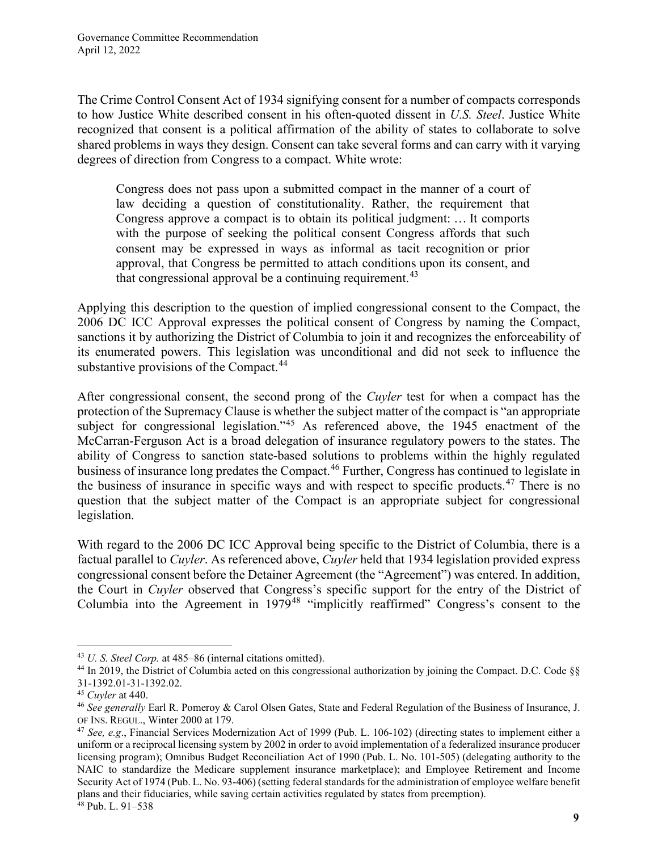The Crime Control Consent Act of 1934 signifying consent for a number of compacts corresponds to how Justice White described consent in his often-quoted dissent in *U.S. Steel*. Justice White recognized that consent is a political affirmation of the ability of states to collaborate to solve shared problems in ways they design. Consent can take several forms and can carry with it varying degrees of direction from Congress to a compact. White wrote:

Congress does not pass upon a submitted compact in the manner of a court of law deciding a question of constitutionality. Rather, the requirement that Congress approve a compact is to obtain its political judgment: … It comports with the purpose of seeking the political consent Congress affords that such consent may be expressed in ways as informal as tacit recognition or prior approval, that Congress be permitted to attach conditions upon its consent, and that congressional approval be a continuing requirement.<sup>[43](#page-8-0)</sup>

Applying this description to the question of implied congressional consent to the Compact, the 2006 DC ICC Approval expresses the political consent of Congress by naming the Compact, sanctions it by authorizing the District of Columbia to join it and recognizes the enforceability of its enumerated powers. This legislation was unconditional and did not seek to influence the substantive provisions of the Compact.<sup>44</sup>

After congressional consent, the second prong of the *Cuyler* test for when a compact has the protection of the Supremacy Clause is whether the subject matter of the compact is "an appropriate subject for congressional legislation."<sup>[45](#page-8-2)</sup> As referenced above, the 1945 enactment of the McCarran-Ferguson Act is a broad delegation of insurance regulatory powers to the states. The ability of Congress to sanction state-based solutions to problems within the highly regulated business of insurance long predates the Compact. [46](#page-8-3) Further, Congress has continued to legislate in the business of insurance in specific ways and with respect to specific products.<sup>[47](#page-8-4)</sup> There is no question that the subject matter of the Compact is an appropriate subject for congressional legislation.

With regard to the 2006 DC ICC Approval being specific to the District of Columbia, there is a factual parallel to *Cuyler*. As referenced above, *Cuyler* held that 1934 legislation provided express congressional consent before the Detainer Agreement (the "Agreement") was entered. In addition, the Court in *Cuyler* observed that Congress's specific support for the entry of the District of Columbia into the Agreement in  $1979^{48}$  $1979^{48}$  $1979^{48}$  "implicitly reaffirmed" Congress's consent to the

<span id="page-8-0"></span><sup>43</sup> *U. S. Steel Corp.* at 485–86 (internal citations omitted).

<span id="page-8-1"></span><sup>44</sup> In 2019, the District of Columbia acted on this congressional authorization by joining the Compact. D.C. Code §§ 31-1392.01-31-1392.02.

<span id="page-8-2"></span><sup>45</sup> *Cuyler* at 440.

<span id="page-8-3"></span><sup>46</sup> *See generally* Earl R. Pomeroy & Carol Olsen Gates, State and Federal Regulation of the Business of Insurance, J. OF INS. REGUL., Winter 2000 at 179.

<span id="page-8-5"></span><span id="page-8-4"></span><sup>47</sup> *See, e.g*., Financial Services Modernization Act of 1999 (Pub. L. 106-102) (directing states to implement either a uniform or a reciprocal licensing system by 2002 in order to avoid implementation of a federalized insurance producer licensing program); Omnibus Budget Reconciliation Act of 1990 (Pub. L. No. 101-505) (delegating authority to the NAIC to standardize the Medicare supplement insurance marketplace); and Employee Retirement and Income Security Act of 1974 (Pub. L. No. 93-406) (setting federal standards for the administration of employee welfare benefit plans and their fiduciaries, while saving certain activities regulated by states from preemption). <sup>48</sup> Pub. L. 91–538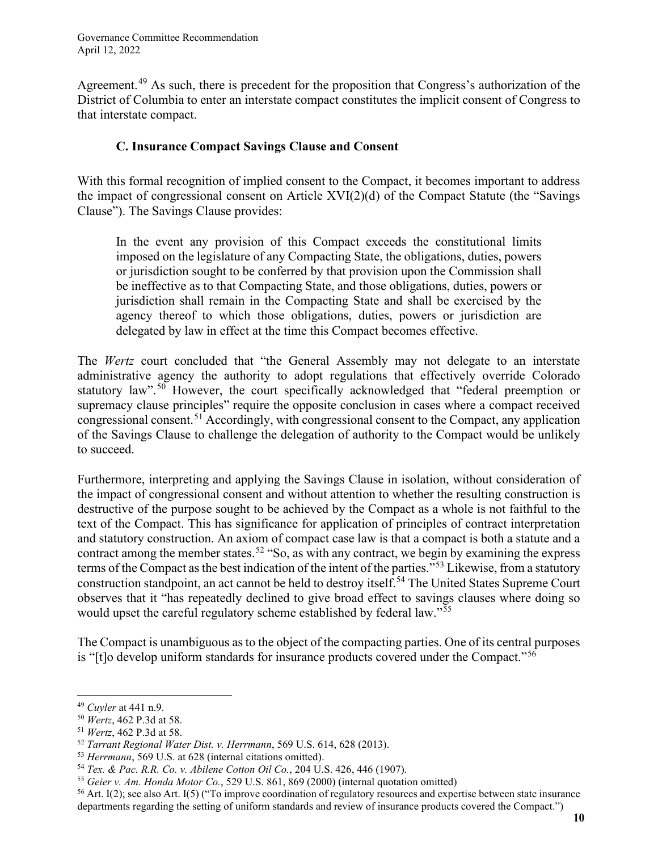Agreement.<sup>[49](#page-9-0)</sup> As such, there is precedent for the proposition that Congress's authorization of the District of Columbia to enter an interstate compact constitutes the implicit consent of Congress to that interstate compact.

#### **C. Insurance Compact Savings Clause and Consent**

With this formal recognition of implied consent to the Compact, it becomes important to address the impact of congressional consent on Article XVI(2)(d) of the Compact Statute (the "Savings Clause"). The Savings Clause provides:

In the event any provision of this Compact exceeds the constitutional limits imposed on the legislature of any Compacting State, the obligations, duties, powers or jurisdiction sought to be conferred by that provision upon the Commission shall be ineffective as to that Compacting State, and those obligations, duties, powers or jurisdiction shall remain in the Compacting State and shall be exercised by the agency thereof to which those obligations, duties, powers or jurisdiction are delegated by law in effect at the time this Compact becomes effective.

The *Wertz* court concluded that "the General Assembly may not delegate to an interstate administrative agency the authority to adopt regulations that effectively override Colorado statutory law".<sup>[50](#page-9-1)</sup> However, the court specifically acknowledged that "federal preemption or supremacy clause principles" require the opposite conclusion in cases where a compact received congressional consent.[51](#page-9-2) Accordingly, with congressional consent to the Compact, any application of the Savings Clause to challenge the delegation of authority to the Compact would be unlikely to succeed.

Furthermore, interpreting and applying the Savings Clause in isolation, without consideration of the impact of congressional consent and without attention to whether the resulting construction is destructive of the purpose sought to be achieved by the Compact as a whole is not faithful to the text of the Compact. This has significance for application of principles of contract interpretation and statutory construction. An axiom of compact case law is that a compact is both a statute and a contract among the member states.<sup>[52](#page-9-3)</sup> "So, as with any contract, we begin by examining the express terms of the Compact as the best indication of the intent of the parties."[53](#page-9-4) Likewise, from a statutory construction standpoint, an act cannot be held to destroy itself.<sup>[54](#page-9-5)</sup> The United States Supreme Court observes that it "has repeatedly declined to give broad effect to savings clauses where doing so would upset the careful regulatory scheme established by federal law."<sup>[55](#page-9-6)</sup>

The Compact is unambiguous as to the object of the compacting parties. One of its central purposes is "[t]o develop uniform standards for insurance products covered under the Compact."[56](#page-9-7)

<span id="page-9-0"></span><sup>49</sup> *Cuyler* at 441 n.9.

<span id="page-9-1"></span><sup>50</sup> *Wertz*, 462 P.3d at 58.

<span id="page-9-2"></span><sup>51</sup> *Wertz*, 462 P.3d at 58.

<span id="page-9-3"></span><sup>52</sup> *Tarrant Regional Water Dist. v. Herrmann*, 569 U.S. 614, 628 (2013).

<span id="page-9-4"></span><sup>53</sup> *Herrmann*, 569 U.S. at 628 (internal citations omitted).

<span id="page-9-5"></span><sup>54</sup> *Tex. & Pac. R.R. Co. v. Abilene Cotton Oil Co.*, 204 U.S. 426, 446 (1907).

<span id="page-9-6"></span><sup>55</sup> *Geier v. Am. Honda Motor Co.*, 529 U.S. 861, 869 (2000) (internal quotation omitted)

<span id="page-9-7"></span> $56$  Art. I(2); see also Art. I(5) ("To improve coordination of regulatory resources and expertise between state insurance departments regarding the setting of uniform standards and review of insurance products covered the Compact.")